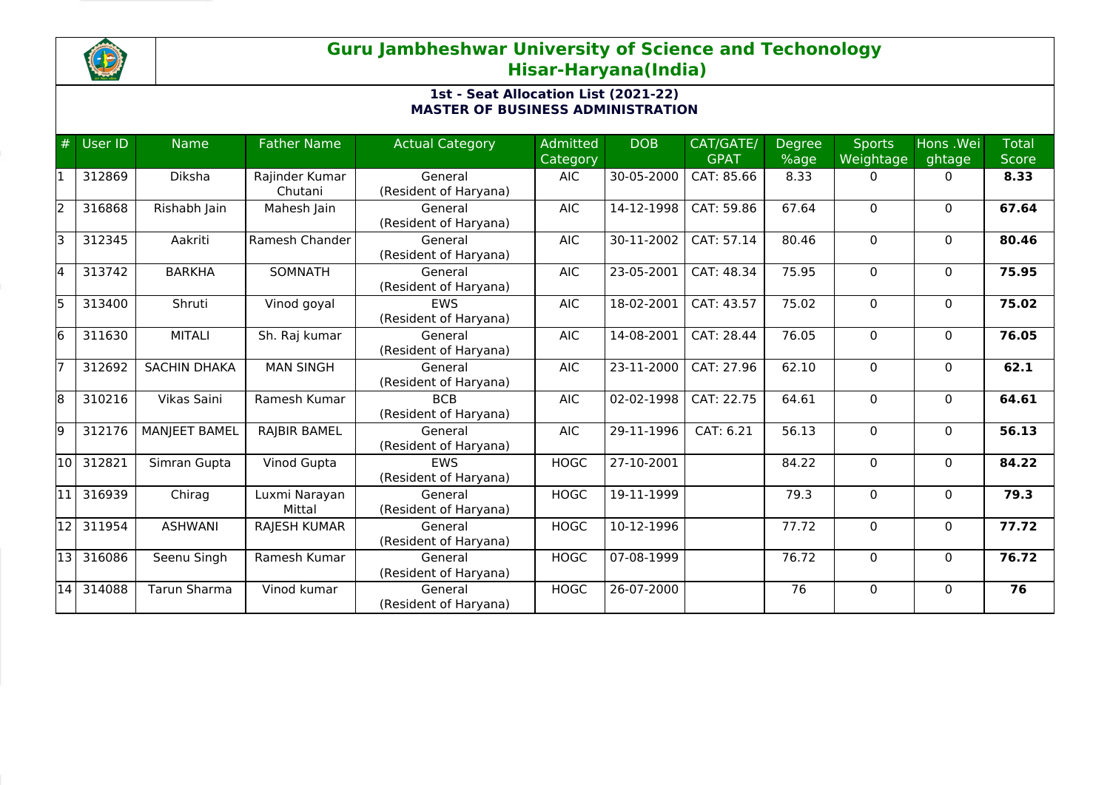

| #  | User ID | <b>Name</b>          | <b>Father Name</b>        | <b>Actual Category</b>              | <b>Admitted</b><br>Category | <b>DOB</b> | CAT/GATE/<br><b>GPAT</b> | <b>Degree</b><br>%age | <b>Sports</b><br>Weightage | Hons .Wei<br>ghtage | <b>Total</b><br><b>Score</b> |
|----|---------|----------------------|---------------------------|-------------------------------------|-----------------------------|------------|--------------------------|-----------------------|----------------------------|---------------------|------------------------------|
| l1 | 312869  | Diksha               | Rajinder Kumar<br>Chutani | General<br>(Resident of Haryana)    | <b>AIC</b>                  | 30-05-2000 | CAT: 85.66               | 8.33                  | 0                          | $\mathbf{0}$        | 8.33                         |
| 2  | 316868  | Rishabh Jain         | Mahesh Jain               | General<br>(Resident of Haryana)    | <b>AIC</b>                  | 14-12-1998 | CAT: 59.86               | 67.64                 | $\Omega$                   | $\mathbf{0}$        | 67.64                        |
| lз | 312345  | Aakriti              | Ramesh Chander            | General<br>(Resident of Haryana)    | <b>AIC</b>                  | 30-11-2002 | CAT: 57.14               | 80.46                 | 0                          | $\mathbf{0}$        | 80.46                        |
| l4 | 313742  | <b>BARKHA</b>        | SOMNATH                   | General<br>(Resident of Haryana)    | <b>AIC</b>                  | 23-05-2001 | CAT: 48.34               | 75.95                 | 0                          | $\mathbf 0$         | 75.95                        |
| l5 | 313400  | Shruti               | Vinod goyal               | <b>EWS</b><br>(Resident of Haryana) | <b>AIC</b>                  | 18-02-2001 | CAT: 43.57               | 75.02                 | $\Omega$                   | $\mathbf{0}$        | 75.02                        |
| 6  | 311630  | <b>MITALI</b>        | Sh. Raj kumar             | General<br>(Resident of Haryana)    | <b>AIC</b>                  | 14-08-2001 | CAT: 28.44               | 76.05                 | $\Omega$                   | $\mathbf{0}$        | 76.05                        |
| 17 | 312692  | <b>SACHIN DHAKA</b>  | <b>MAN SINGH</b>          | General<br>(Resident of Haryana)    | <b>AIC</b>                  | 23-11-2000 | CAT: 27.96               | 62.10                 | 0                          | $\mathbf{0}$        | 62.1                         |
| 8  | 310216  | Vikas Saini          | Ramesh Kumar              | <b>BCB</b><br>(Resident of Haryana) | <b>AIC</b>                  | 02-02-1998 | CAT: 22.75               | 64.61                 | 0                          | $\mathbf{0}$        | 64.61                        |
| 9  | 312176  | <b>MANJEET BAMEL</b> | RAJBIR BAMEL              | General<br>(Resident of Haryana)    | <b>AIC</b>                  | 29-11-1996 | CAT: 6.21                | 56.13                 | 0                          | $\mathbf{0}$        | 56.13                        |
| 10 | 312821  | Simran Gupta         | Vinod Gupta               | <b>FWS</b><br>(Resident of Haryana) | <b>HOGC</b>                 | 27-10-2001 |                          | 84.22                 | $\Omega$                   | $\Omega$            | 84.22                        |
| 11 | 316939  | Chirag               | Luxmi Narayan<br>Mittal   | General<br>(Resident of Haryana)    | <b>HOGC</b>                 | 19-11-1999 |                          | 79.3                  | $\Omega$                   | $\mathbf{0}$        | 79.3                         |
| 12 | 311954  | <b>ASHWANI</b>       | <b>RAJESH KUMAR</b>       | General<br>(Resident of Haryana)    | <b>HOGC</b>                 | 10-12-1996 |                          | 77.72                 | $\Omega$                   | $\mathbf{0}$        | 77.72                        |
| 13 | 316086  | Seenu Singh          | Ramesh Kumar              | General<br>(Resident of Haryana)    | <b>HOGC</b>                 | 07-08-1999 |                          | 76.72                 | $\Omega$                   | $\mathbf{0}$        | 76.72                        |
| 14 | 314088  | Tarun Sharma         | Vinod kumar               | General<br>(Resident of Haryana)    | <b>HOGC</b>                 | 26-07-2000 |                          | 76                    | $\Omega$                   | $\Omega$            | 76                           |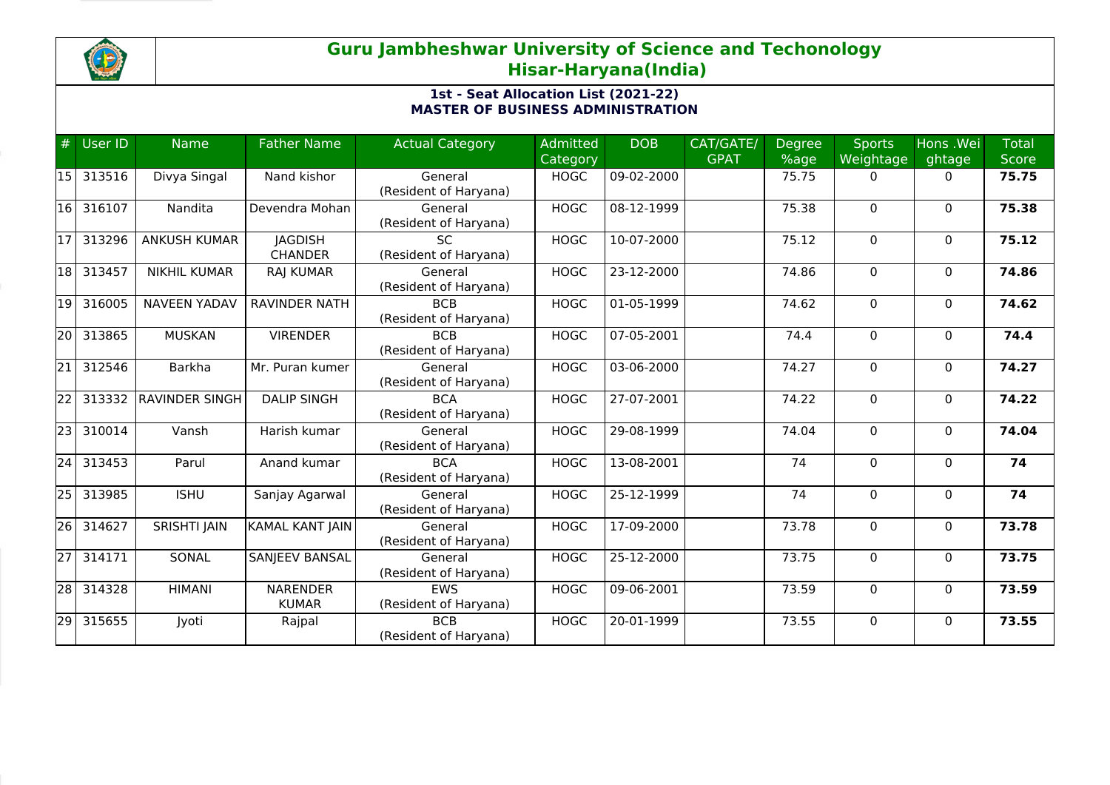

| #               | User ID | <b>Name</b>           | <b>Father Name</b>     | <b>Actual Category</b> | Admitted    | <b>DOB</b> | CAT/GATE/   | <b>Degree</b> | Sports    | Hons .Wei    | <b>Total</b> |
|-----------------|---------|-----------------------|------------------------|------------------------|-------------|------------|-------------|---------------|-----------|--------------|--------------|
|                 |         |                       |                        |                        | Category    |            | <b>GPAT</b> | %age          | Weightage | ghtage       | <b>Score</b> |
| l15 l           | 313516  | Divya Singal          | Nand kishor            | General                | <b>HOGC</b> | 09-02-2000 |             | 75.75         | 0         | $\mathbf{0}$ | 75.75        |
|                 |         |                       |                        | (Resident of Haryana)  |             |            |             |               |           |              |              |
| 16              | 316107  | Nandita               | Devendra Mohan         | General                | <b>HOGC</b> | 08-12-1999 |             | 75.38         | $\Omega$  | $\mathbf 0$  | 75.38        |
|                 |         |                       |                        | (Resident of Haryana)  |             |            |             |               |           |              |              |
| 17              | 313296  | <b>ANKUSH KUMAR</b>   | <b>JAGDISH</b>         | SC.                    | <b>HOGC</b> | 10-07-2000 |             | 75.12         | $\Omega$  | $\mathbf{0}$ | 75.12        |
|                 |         |                       | <b>CHANDER</b>         | (Resident of Haryana)  |             |            |             |               |           |              |              |
| 18 I            | 313457  | <b>NIKHIL KUMAR</b>   | RAJ KUMAR              | General                | <b>HOGC</b> | 23-12-2000 |             | 74.86         | 0         | $\mathbf 0$  | 74.86        |
|                 |         |                       |                        | (Resident of Haryana)  |             |            |             |               |           |              |              |
| 19              | 316005  | <b>NAVEEN YADAV</b>   | <b>RAVINDER NATH</b>   | <b>BCB</b>             | <b>HOGC</b> | 01-05-1999 |             | 74.62         | $\Omega$  | $\mathbf{0}$ | 74.62        |
|                 |         |                       |                        | (Resident of Haryana)  |             |            |             |               |           |              |              |
| 20 l            | 313865  | <b>MUSKAN</b>         | <b>VIRENDER</b>        | <b>BCB</b>             | <b>HOGC</b> | 07-05-2001 |             | 74.4          | 0         | $\mathbf{0}$ | 74.4         |
|                 |         |                       |                        | (Resident of Haryana)  |             |            |             |               |           |              |              |
| $\overline{21}$ | 312546  | <b>Barkha</b>         | Mr. Puran kumer        | General                | <b>HOGC</b> | 03-06-2000 |             | 74.27         | 0         | 0            | 74.27        |
|                 |         |                       |                        | (Resident of Haryana)  |             |            |             |               |           |              |              |
| $\overline{22}$ | 313332  | <b>RAVINDER SINGH</b> | <b>DALIP SINGH</b>     | <b>BCA</b>             | <b>HOGC</b> | 27-07-2001 |             | 74.22         | 0         | $\mathbf{0}$ | 74.22        |
|                 |         |                       |                        | (Resident of Haryana)  |             |            |             |               |           |              |              |
| $\overline{23}$ | 310014  | Vansh                 | Harish kumar           | General                | <b>HOGC</b> | 29-08-1999 |             | 74.04         | $\Omega$  | $\mathbf{0}$ | 74.04        |
|                 |         |                       |                        | (Resident of Haryana)  |             |            |             |               |           |              |              |
| $\overline{24}$ | 313453  | Parul                 | Anand kumar            | <b>BCA</b>             | <b>HOGC</b> | 13-08-2001 |             | 74            | $\Omega$  | $\mathbf{0}$ | 74           |
|                 |         |                       |                        | (Resident of Haryana)  |             |            |             |               |           |              |              |
| 25              | 313985  | <b>ISHU</b>           | Sanjay Agarwal         | General                | <b>HOGC</b> | 25-12-1999 |             | 74            | $\Omega$  | $\Omega$     | 74           |
|                 |         |                       |                        | (Resident of Haryana)  |             |            |             |               |           |              |              |
| 26              | 314627  | <b>SRISHTI JAIN</b>   | <b>KAMAL KANT JAIN</b> | General                | <b>HOGC</b> | 17-09-2000 |             | 73.78         | 0         | $\mathbf{0}$ | 73.78        |
|                 |         |                       |                        | (Resident of Haryana)  |             |            |             |               |           |              |              |
| $\overline{27}$ | 314171  | SONAL                 | SANJEEV BANSAL         | General                | <b>HOGC</b> | 25-12-2000 |             | 73.75         | 0         | 0            | 73.75        |
|                 |         |                       |                        | (Resident of Haryana)  |             |            |             |               |           |              |              |
| 28              | 314328  | <b>HIMANI</b>         | <b>NARENDER</b>        | <b>EWS</b>             | <b>HOGC</b> | 09-06-2001 |             | 73.59         | 0         | $\Omega$     | 73.59        |
|                 |         |                       | <b>KUMAR</b>           | (Resident of Haryana)  |             |            |             |               |           |              |              |
| 29              | 315655  | Jyoti                 | Rajpal                 | <b>BCB</b>             | <b>HOGC</b> | 20-01-1999 |             | 73.55         | 0         | $\Omega$     | 73.55        |
|                 |         |                       |                        | (Resident of Haryana)  |             |            |             |               |           |              |              |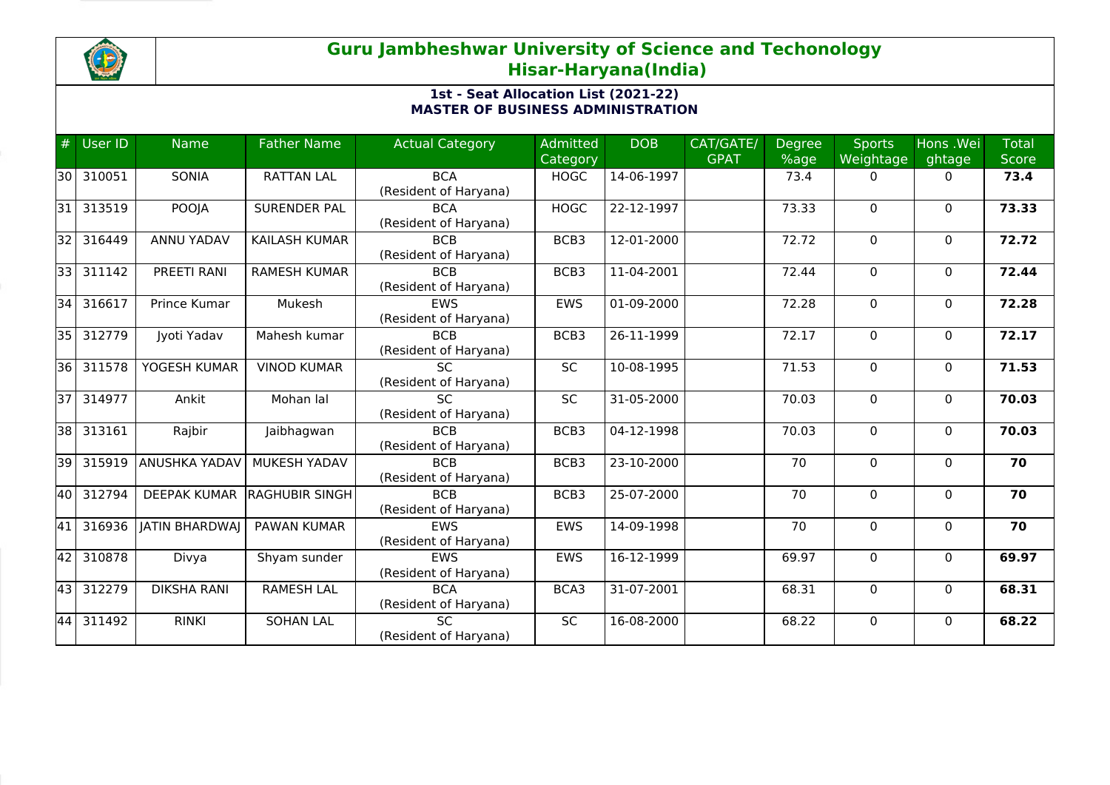

| #               | User ID | <b>Name</b>           | <b>Father Name</b>    | <b>Actual Category</b> | <b>Admitted</b> | <b>DOB</b>       | CAT/GATE/   | <b>Degree</b> | <b>Sports</b> | Hons .Wei    | <b>Total</b> |
|-----------------|---------|-----------------------|-----------------------|------------------------|-----------------|------------------|-------------|---------------|---------------|--------------|--------------|
|                 |         |                       |                       |                        | Category        |                  | <b>GPAT</b> | %age          | Weightage     | ghtage       | <b>Score</b> |
| 130 I           | 310051  | <b>SONIA</b>          | <b>RATTAN LAL</b>     | <b>BCA</b>             | <b>HOGC</b>     | 14-06-1997       |             | 73.4          | 0             | 0            | 73.4         |
|                 |         |                       |                       | (Resident of Haryana)  |                 |                  |             |               |               |              |              |
| 31              | 313519  | POOJA                 | <b>SURENDER PAL</b>   | <b>BCA</b>             | <b>HOGC</b>     | 22-12-1997       |             | 73.33         | $\mathbf 0$   | $\mathbf 0$  | 73.33        |
|                 |         |                       |                       | (Resident of Haryana)  |                 |                  |             |               |               |              |              |
| 32              | 316449  | ANNU YADAV            | <b>KAILASH KUMAR</b>  | <b>BCB</b>             | BCB3            | 12-01-2000       |             | 72.72         | 0             | $\mathbf{0}$ | 72.72        |
|                 |         |                       |                       | (Resident of Haryana)  |                 |                  |             |               |               |              |              |
| 33              | 311142  | PREETI RANI           | <b>RAMESH KUMAR</b>   | <b>BCB</b>             | BCB3            | 11-04-2001       |             | 72.44         | $\mathbf 0$   | $\mathbf{0}$ | 72.44        |
|                 |         |                       |                       | (Resident of Haryana)  |                 |                  |             |               |               |              |              |
| 34              | 316617  | Prince Kumar          | Mukesh                | <b>EWS</b>             | EWS             | 01-09-2000       |             | 72.28         | $\Omega$      | $\mathbf{0}$ | 72.28        |
|                 |         |                       |                       | (Resident of Haryana)  |                 |                  |             |               |               |              |              |
| $351$           | 312779  | Jyoti Yadav           | Mahesh kumar          | <b>BCB</b>             | BCB3            | 26-11-1999       |             | 72.17         | $\Omega$      | $\mathbf{0}$ | 72.17        |
|                 |         |                       |                       | (Resident of Haryana)  |                 |                  |             |               |               |              |              |
| 36              | 311578  | YOGESH KUMAR          | <b>VINOD KUMAR</b>    | <b>SC</b>              | <b>SC</b>       | 10-08-1995       |             | 71.53         | $\mathbf 0$   | $\mathbf{0}$ | 71.53        |
|                 |         |                       |                       | (Resident of Haryana)  |                 |                  |             |               |               |              |              |
| $\overline{37}$ | 314977  | Ankit                 | Mohan lal             | <b>SC</b>              | SC              | $31 - 05 - 2000$ |             | 70.03         | $\mathbf 0$   | $\Omega$     | 70.03        |
|                 |         |                       |                       | (Resident of Haryana)  |                 |                  |             |               |               |              |              |
| 38              | 313161  | Rajbir                | Jaibhagwan            | <b>BCB</b>             | BCB3            | 04-12-1998       |             | 70.03         | 0             | $\mathbf{0}$ | 70.03        |
|                 |         |                       |                       | (Resident of Haryana)  |                 |                  |             |               |               |              |              |
| 39              | 315919  | <b>ANUSHKA YADAV</b>  | MUKESH YADAV          | <b>BCB</b>             | BCB3            | 23-10-2000       |             | 70            | 0             | $\mathbf{0}$ | 70           |
|                 |         |                       |                       | (Resident of Haryana)  |                 |                  |             |               |               |              |              |
| 40 <sup>1</sup> | 312794  | <b>DEEPAK KUMAR</b>   | <b>RAGHUBIR SINGH</b> | <b>BCB</b>             | BCB3            | 25-07-2000       |             | 70            | $\Omega$      | $\mathbf{0}$ | 70           |
|                 |         |                       |                       | (Resident of Haryana)  |                 |                  |             |               |               |              |              |
| 41              | 316936  | <b>JATIN BHARDWAJ</b> | <b>PAWAN KUMAR</b>    | <b>EWS</b>             | <b>EWS</b>      | 14-09-1998       |             | 70            | $\mathbf 0$   | $\mathbf{0}$ | 70           |
|                 |         |                       |                       | (Resident of Haryana)  |                 |                  |             |               |               |              |              |
| 42              | 310878  | Divya                 | Shyam sunder          | <b>EWS</b>             | <b>EWS</b>      | 16-12-1999       |             | 69.97         | $\mathbf 0$   | $\mathbf{0}$ | 69.97        |
|                 |         |                       |                       | (Resident of Haryana)  |                 |                  |             |               |               |              |              |
| 43              | 312279  | <b>DIKSHA RANI</b>    | <b>RAMESH LAL</b>     | <b>BCA</b>             | BCA3            | 31-07-2001       |             | 68.31         | $\mathbf 0$   | $\Omega$     | 68.31        |
|                 |         |                       |                       | (Resident of Haryana)  |                 |                  |             |               |               |              |              |
| 44              | 311492  | <b>RINKI</b>          | <b>SOHAN LAL</b>      | SC                     | SC              | 16-08-2000       |             | 68.22         | 0             | $\mathbf{0}$ | 68.22        |
|                 |         |                       |                       | (Resident of Haryana)  |                 |                  |             |               |               |              |              |